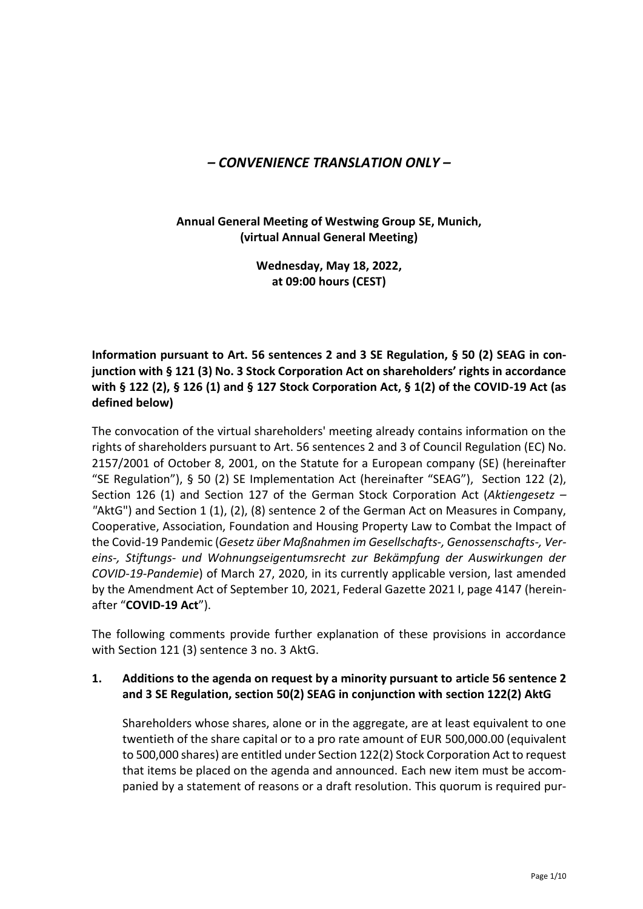# *– CONVENIENCE TRANSLATION ONLY –*

**Annual General Meeting of Westwing Group SE, Munich, (virtual Annual General Meeting)**

> **Wednesday, May 18, 2022, at 09:00 hours (CEST)**

**Information pursuant to Art. 56 sentences 2 and 3 SE Regulation, § 50 (2) SEAG in conjunction with § 121 (3) No. 3 Stock Corporation Act on shareholders' rights in accordance with § 122 (2), § 126 (1) and § 127 Stock Corporation Act, § 1(2) of the COVID-19 Act (as defined below)**

The convocation of the virtual shareholders' meeting already contains information on the rights of shareholders pursuant to Art. 56 sentences 2 and 3 of Council Regulation (EC) No. 2157/2001 of October 8, 2001, on the Statute for a European company (SE) (hereinafter "SE Regulation"), § 50 (2) SE Implementation Act (hereinafter "SEAG"), Section 122 (2), Section 126 (1) and Section 127 of the German Stock Corporation Act (*Aktiengesetz – "*AktG") and Section 1 (1), (2), (8) sentence 2 of the German Act on Measures in Company, Cooperative, Association, Foundation and Housing Property Law to Combat the Impact of the Covid-19 Pandemic (*Gesetz über Maßnahmen im Gesellschafts-, Genossenschafts-, Vereins-, Stiftungs- und Wohnungseigentumsrecht zur Bekämpfung der Auswirkungen der COVID-19-Pandemie*) of March 27, 2020, in its currently applicable version, last amended by the Amendment Act of September 10, 2021, Federal Gazette 2021 I, page 4147 (hereinafter "**COVID-19 Act**").

The following comments provide further explanation of these provisions in accordance with Section 121 (3) sentence 3 no. 3 AktG.

#### **1. Additions to the agenda on request by a minority pursuant to article 56 sentence 2 and 3 SE Regulation, section 50(2) SEAG in conjunction with section 122(2) AktG**

Shareholders whose shares, alone or in the aggregate, are at least equivalent to one twentieth of the share capital or to a pro rate amount of EUR 500,000.00 (equivalent to 500,000 shares) are entitled under Section 122(2) Stock Corporation Act to request that items be placed on the agenda and announced. Each new item must be accompanied by a statement of reasons or a draft resolution. This quorum is required pur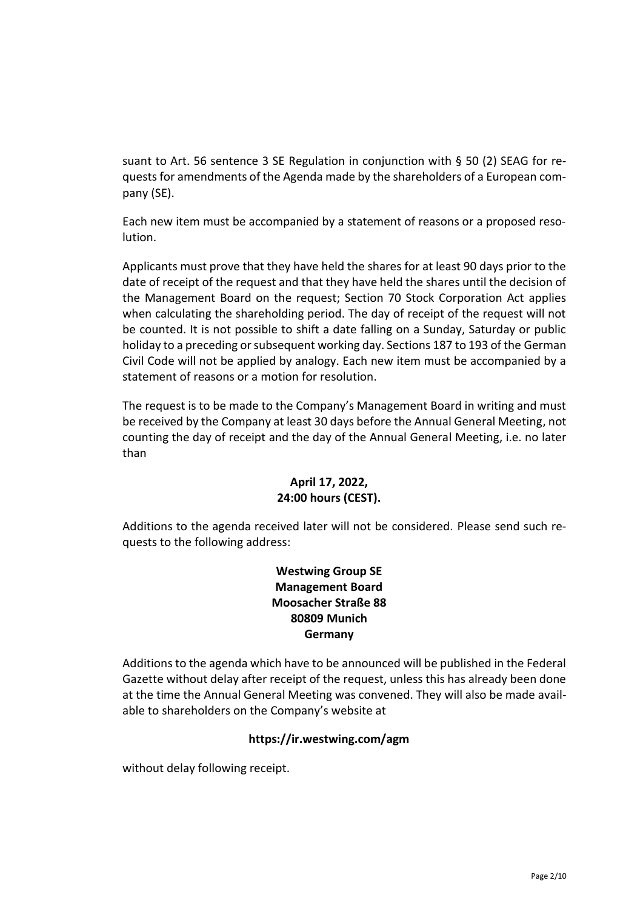suant to Art. 56 sentence 3 SE Regulation in conjunction with § 50 (2) SEAG for requests for amendments of the Agenda made by the shareholders of a European company (SE).

Each new item must be accompanied by a statement of reasons or a proposed resolution.

Applicants must prove that they have held the shares for at least 90 days prior to the date of receipt of the request and that they have held the shares until the decision of the Management Board on the request; Section 70 Stock Corporation Act applies when calculating the shareholding period. The day of receipt of the request will not be counted. It is not possible to shift a date falling on a Sunday, Saturday or public holiday to a preceding or subsequent working day. Sections 187 to 193 of the German Civil Code will not be applied by analogy. Each new item must be accompanied by a statement of reasons or a motion for resolution.

The request is to be made to the Company's Management Board in writing and must be received by the Company at least 30 days before the Annual General Meeting, not counting the day of receipt and the day of the Annual General Meeting, i.e. no later than

### **April 17, 2022, 24:00 hours (CEST).**

Additions to the agenda received later will not be considered. Please send such requests to the following address:

## **Westwing Group SE Management Board Moosacher Straße 88 80809 Munich Germany**

Additions to the agenda which have to be announced will be published in the Federal Gazette without delay after receipt of the request, unless this has already been done at the time the Annual General Meeting was convened. They will also be made available to shareholders on the Company's website at

### **https://ir.westwing.com/agm**

without delay following receipt.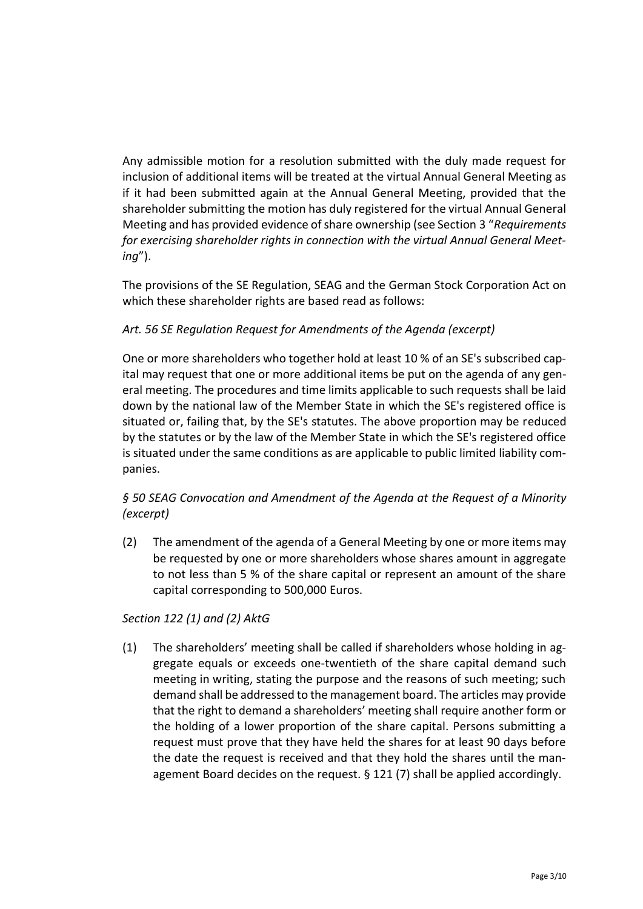Any admissible motion for a resolution submitted with the duly made request for inclusion of additional items will be treated at the virtual Annual General Meeting as if it had been submitted again at the Annual General Meeting, provided that the shareholder submitting the motion has duly registered for the virtual Annual General Meeting and has provided evidence of share ownership (see Section 3 "*Requirements for exercising shareholder rights in connection with the virtual Annual General Meeting*").

The provisions of the SE Regulation, SEAG and the German Stock Corporation Act on which these shareholder rights are based read as follows:

### *Art. 56 SE Regulation Request for Amendments of the Agenda (excerpt)*

One or more shareholders who together hold at least 10 % of an SE's subscribed capital may request that one or more additional items be put on the agenda of any general meeting. The procedures and time limits applicable to such requests shall be laid down by the national law of the Member State in which the SE's registered office is situated or, failing that, by the SE's statutes. The above proportion may be reduced by the statutes or by the law of the Member State in which the SE's registered office is situated under the same conditions as are applicable to public limited liability companies.

### *§ 50 SEAG Convocation and Amendment of the Agenda at the Request of a Minority (excerpt)*

(2) The amendment of the agenda of a General Meeting by one or more items may be requested by one or more shareholders whose shares amount in aggregate to not less than 5 % of the share capital or represent an amount of the share capital corresponding to 500,000 Euros.

### *Section 122 (1) and (2) AktG*

(1) The shareholders' meeting shall be called if shareholders whose holding in aggregate equals or exceeds one-twentieth of the share capital demand such meeting in writing, stating the purpose and the reasons of such meeting; such demand shall be addressed to the management board. The articles may provide that the right to demand a shareholders' meeting shall require another form or the holding of a lower proportion of the share capital. Persons submitting a request must prove that they have held the shares for at least 90 days before the date the request is received and that they hold the shares until the management Board decides on the request. § 121 (7) shall be applied accordingly.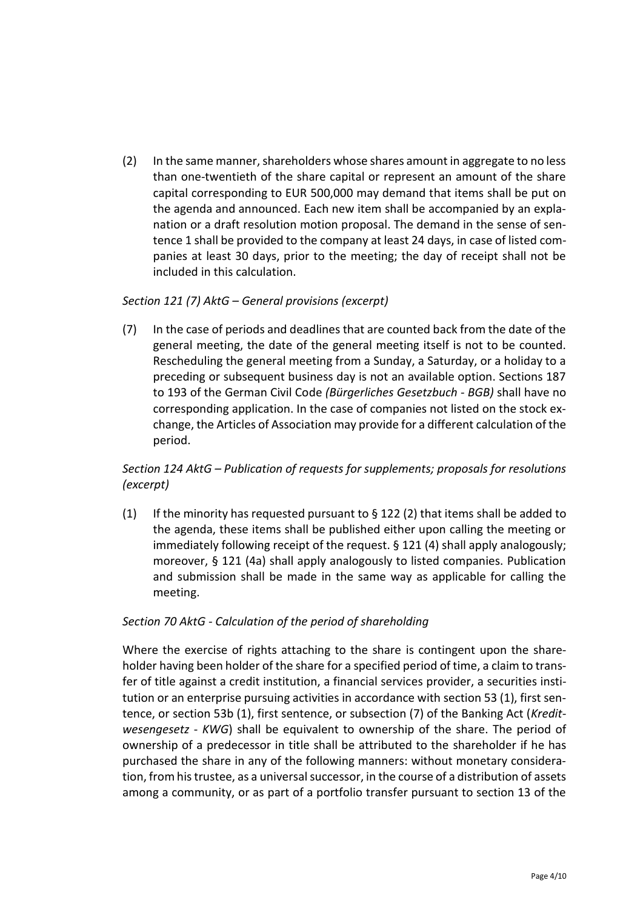(2) In the same manner, shareholders whose shares amount in aggregate to no less than one-twentieth of the share capital or represent an amount of the share capital corresponding to EUR 500,000 may demand that items shall be put on the agenda and announced. Each new item shall be accompanied by an explanation or a draft resolution motion proposal. The demand in the sense of sentence 1 shall be provided to the company at least 24 days, in case of listed companies at least 30 days, prior to the meeting; the day of receipt shall not be included in this calculation.

#### *Section 121 (7) AktG – General provisions (excerpt)*

(7) In the case of periods and deadlines that are counted back from the date of the general meeting, the date of the general meeting itself is not to be counted. Rescheduling the general meeting from a Sunday, a Saturday, or a holiday to a preceding or subsequent business day is not an available option. Sections 187 to 193 of the German Civil Code *(Bürgerliches Gesetzbuch - BGB)* shall have no corresponding application. In the case of companies not listed on the stock exchange, the Articles of Association may provide for a different calculation of the period.

### *Section 124 AktG – Publication of requests for supplements; proposals for resolutions (excerpt)*

(1) If the minority has requested pursuant to  $\S 122$  (2) that items shall be added to the agenda, these items shall be published either upon calling the meeting or immediately following receipt of the request. § 121 (4) shall apply analogously; moreover, § 121 (4a) shall apply analogously to listed companies. Publication and submission shall be made in the same way as applicable for calling the meeting.

### *Section 70 AktG - Calculation of the period of shareholding*

Where the exercise of rights attaching to the share is contingent upon the shareholder having been holder of the share for a specified period of time, a claim to transfer of title against a credit institution, a financial services provider, a securities institution or an enterprise pursuing activities in accordance with section 53 (1), first sentence, or section 53b (1), first sentence, or subsection (7) of the Banking Act (*Kreditwesengesetz* - *KWG*) shall be equivalent to ownership of the share. The period of ownership of a predecessor in title shall be attributed to the shareholder if he has purchased the share in any of the following manners: without monetary consideration, from his trustee, as a universal successor, in the course of a distribution of assets among a community, or as part of a portfolio transfer pursuant to section 13 of the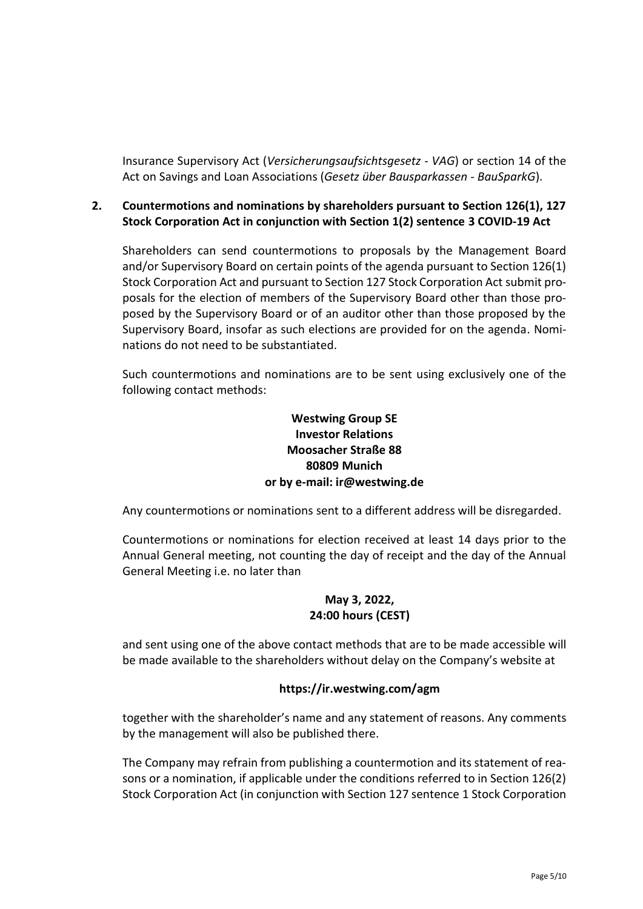Insurance Supervisory Act (*Versicherungsaufsichtsgesetz - VAG*) or section 14 of the Act on Savings and Loan Associations (*Gesetz über Bausparkassen - BauSparkG*).

### **2. Countermotions and nominations by shareholders pursuant to Section 126(1), 127 Stock Corporation Act in conjunction with Section 1(2) sentence 3 COVID-19 Act**

Shareholders can send countermotions to proposals by the Management Board and/or Supervisory Board on certain points of the agenda pursuant to Section 126(1) Stock Corporation Act and pursuant to Section 127 Stock Corporation Act submit proposals for the election of members of the Supervisory Board other than those proposed by the Supervisory Board or of an auditor other than those proposed by the Supervisory Board, insofar as such elections are provided for on the agenda. Nominations do not need to be substantiated.

Such countermotions and nominations are to be sent using exclusively one of the following contact methods:

### **Westwing Group SE Investor Relations Moosacher Straße 88 80809 Munich or by e-mail: ir@westwing.de**

Any countermotions or nominations sent to a different address will be disregarded.

Countermotions or nominations for election received at least 14 days prior to the Annual General meeting, not counting the day of receipt and the day of the Annual General Meeting i.e. no later than

### **May 3, 2022, 24:00 hours (CEST)**

and sent using one of the above contact methods that are to be made accessible will be made available to the shareholders without delay on the Company's website at

### **https://ir.westwing.com/agm**

together with the shareholder's name and any statement of reasons. Any comments by the management will also be published there.

The Company may refrain from publishing a countermotion and its statement of reasons or a nomination, if applicable under the conditions referred to in Section 126(2) Stock Corporation Act (in conjunction with Section 127 sentence 1 Stock Corporation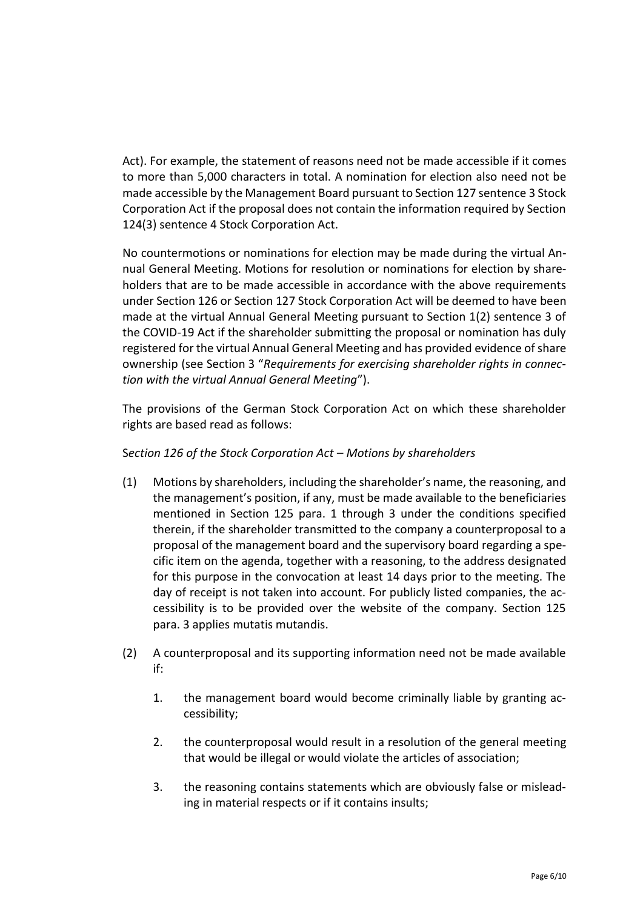Act). For example, the statement of reasons need not be made accessible if it comes to more than 5,000 characters in total. A nomination for election also need not be made accessible by the Management Board pursuant to Section 127 sentence 3 Stock Corporation Act if the proposal does not contain the information required by Section 124(3) sentence 4 Stock Corporation Act.

No countermotions or nominations for election may be made during the virtual Annual General Meeting. Motions for resolution or nominations for election by shareholders that are to be made accessible in accordance with the above requirements under Section 126 or Section 127 Stock Corporation Act will be deemed to have been made at the virtual Annual General Meeting pursuant to Section 1(2) sentence 3 of the COVID-19 Act if the shareholder submitting the proposal or nomination has duly registered for the virtual Annual General Meeting and has provided evidence of share ownership (see Section 3 "*Requirements for exercising shareholder rights in connection with the virtual Annual General Meeting*").

The provisions of the German Stock Corporation Act on which these shareholder rights are based read as follows:

#### S*ection 126 of the Stock Corporation Act – Motions by shareholders*

- (1) Motions by shareholders, including the shareholder's name, the reasoning, and the management's position, if any, must be made available to the beneficiaries mentioned in Section 125 para. 1 through 3 under the conditions specified therein, if the shareholder transmitted to the company a counterproposal to a proposal of the management board and the supervisory board regarding a specific item on the agenda, together with a reasoning, to the address designated for this purpose in the convocation at least 14 days prior to the meeting. The day of receipt is not taken into account. For publicly listed companies, the accessibility is to be provided over the website of the company. Section 125 para. 3 applies mutatis mutandis.
- (2) A counterproposal and its supporting information need not be made available if:
	- 1. the management board would become criminally liable by granting accessibility;
	- 2. the counterproposal would result in a resolution of the general meeting that would be illegal or would violate the articles of association;
	- 3. the reasoning contains statements which are obviously false or misleading in material respects or if it contains insults;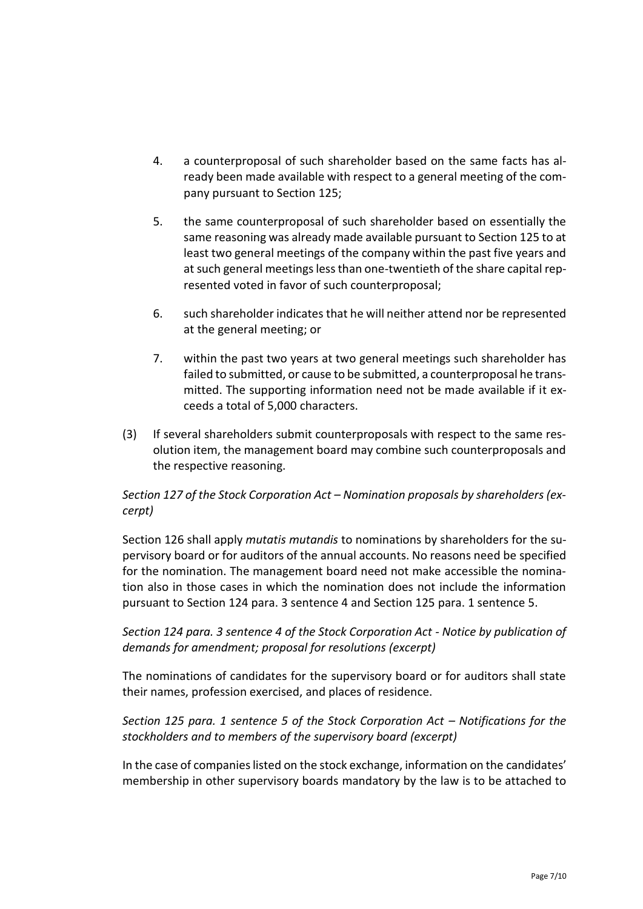- 4. a counterproposal of such shareholder based on the same facts has already been made available with respect to a general meeting of the company pursuant to Section 125;
- 5. the same counterproposal of such shareholder based on essentially the same reasoning was already made available pursuant to Section 125 to at least two general meetings of the company within the past five years and at such general meetings less than one-twentieth of the share capital represented voted in favor of such counterproposal;
- 6. such shareholder indicates that he will neither attend nor be represented at the general meeting; or
- 7. within the past two years at two general meetings such shareholder has failed to submitted, or cause to be submitted, a counterproposal he transmitted. The supporting information need not be made available if it exceeds a total of 5,000 characters.
- (3) If several shareholders submit counterproposals with respect to the same resolution item, the management board may combine such counterproposals and the respective reasoning.

### *Section 127 of the Stock Corporation Act – Nomination proposals by shareholders (excerpt)*

Section 126 shall apply *mutatis mutandis* to nominations by shareholders for the supervisory board or for auditors of the annual accounts. No reasons need be specified for the nomination. The management board need not make accessible the nomination also in those cases in which the nomination does not include the information pursuant to Section 124 para. 3 sentence 4 and Section 125 para. 1 sentence 5.

### *Section 124 para. 3 sentence 4 of the Stock Corporation Act - Notice by publication of demands for amendment; proposal for resolutions (excerpt)*

The nominations of candidates for the supervisory board or for auditors shall state their names, profession exercised, and places of residence.

*Section 125 para. 1 sentence 5 of the Stock Corporation Act – Notifications for the stockholders and to members of the supervisory board (excerpt)*

In the case of companies listed on the stock exchange, information on the candidates' membership in other supervisory boards mandatory by the law is to be attached to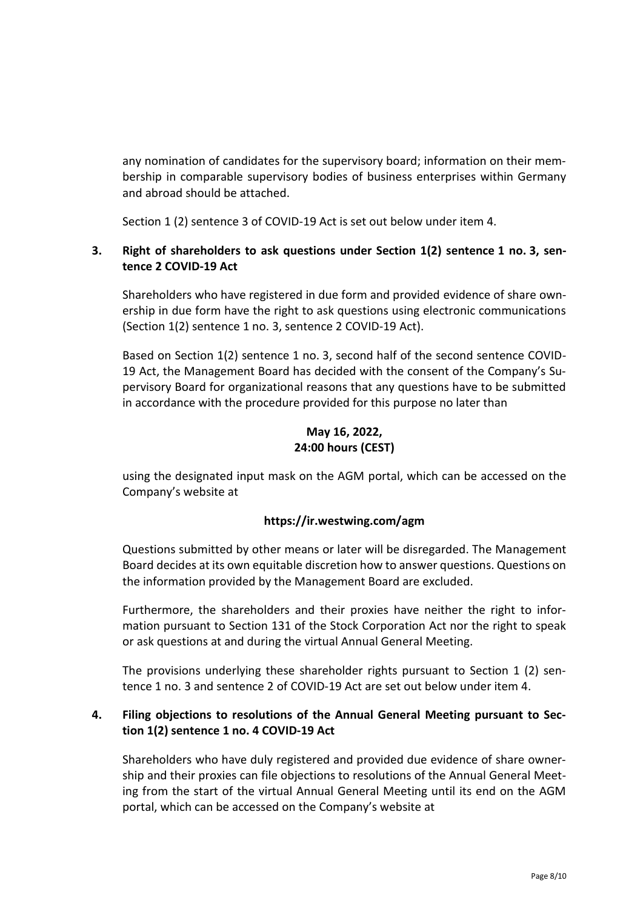any nomination of candidates for the supervisory board; information on their membership in comparable supervisory bodies of business enterprises within Germany and abroad should be attached.

Section 1 (2) sentence 3 of COVID-19 Act is set out below under item 4.

### **3. Right of shareholders to ask questions under Section 1(2) sentence 1 no. 3, sentence 2 COVID-19 Act**

Shareholders who have registered in due form and provided evidence of share ownership in due form have the right to ask questions using electronic communications (Section 1(2) sentence 1 no. 3, sentence 2 COVID-19 Act).

Based on Section 1(2) sentence 1 no. 3, second half of the second sentence COVID-19 Act, the Management Board has decided with the consent of the Company's Supervisory Board for organizational reasons that any questions have to be submitted in accordance with the procedure provided for this purpose no later than

## **May 16, 2022, 24:00 hours (CEST)**

using the designated input mask on the AGM portal, which can be accessed on the Company's website at

### **https://ir.westwing.com/agm**

Questions submitted by other means or later will be disregarded. The Management Board decides at its own equitable discretion how to answer questions. Questions on the information provided by the Management Board are excluded.

Furthermore, the shareholders and their proxies have neither the right to information pursuant to Section 131 of the Stock Corporation Act nor the right to speak or ask questions at and during the virtual Annual General Meeting.

The provisions underlying these shareholder rights pursuant to Section 1 (2) sentence 1 no. 3 and sentence 2 of COVID-19 Act are set out below under item 4.

### **4. Filing objections to resolutions of the Annual General Meeting pursuant to Section 1(2) sentence 1 no. 4 COVID-19 Act**

Shareholders who have duly registered and provided due evidence of share ownership and their proxies can file objections to resolutions of the Annual General Meeting from the start of the virtual Annual General Meeting until its end on the AGM portal, which can be accessed on the Company's website at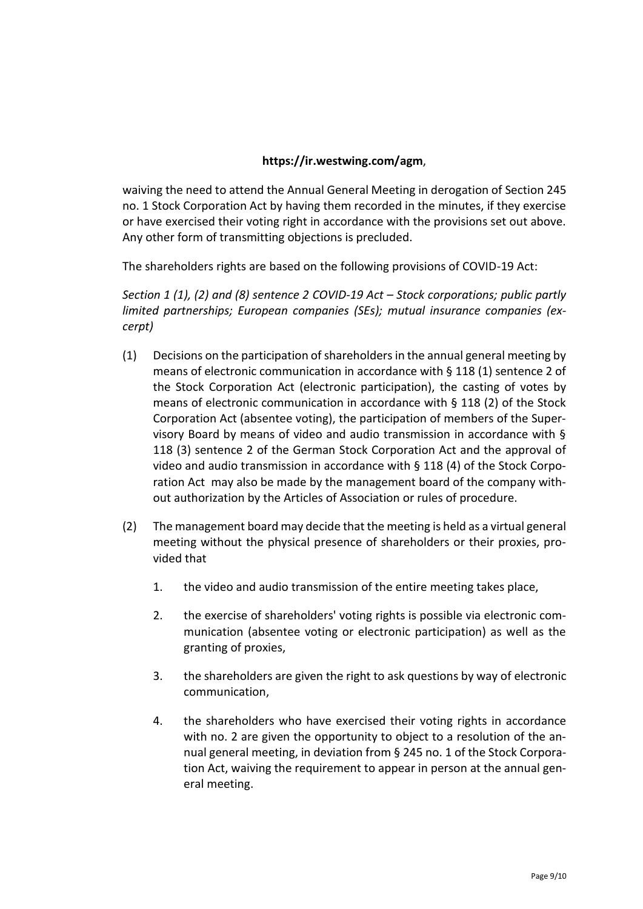### **https://ir.westwing.com/agm**,

waiving the need to attend the Annual General Meeting in derogation of Section 245 no. 1 Stock Corporation Act by having them recorded in the minutes, if they exercise or have exercised their voting right in accordance with the provisions set out above. Any other form of transmitting objections is precluded.

The shareholders rights are based on the following provisions of COVID-19 Act:

*Section 1 (1), (2) and (8) sentence 2 COVID-19 Act – Stock corporations; public partly limited partnerships; European companies (SEs); mutual insurance companies (excerpt)*

- (1) Decisions on the participation of shareholders in the annual general meeting by means of electronic communication in accordance with § 118 (1) sentence 2 of the Stock Corporation Act (electronic participation), the casting of votes by means of electronic communication in accordance with § 118 (2) of the Stock Corporation Act (absentee voting), the participation of members of the Supervisory Board by means of video and audio transmission in accordance with § 118 (3) sentence 2 of the German Stock Corporation Act and the approval of video and audio transmission in accordance with § 118 (4) of the Stock Corporation Act may also be made by the management board of the company without authorization by the Articles of Association or rules of procedure.
- (2) The management board may decide that the meeting is held as a virtual general meeting without the physical presence of shareholders or their proxies, provided that
	- 1. the video and audio transmission of the entire meeting takes place,
	- 2. the exercise of shareholders' voting rights is possible via electronic communication (absentee voting or electronic participation) as well as the granting of proxies,
	- 3. the shareholders are given the right to ask questions by way of electronic communication,
	- 4. the shareholders who have exercised their voting rights in accordance with no. 2 are given the opportunity to object to a resolution of the annual general meeting, in deviation from § 245 no. 1 of the Stock Corporation Act, waiving the requirement to appear in person at the annual general meeting.